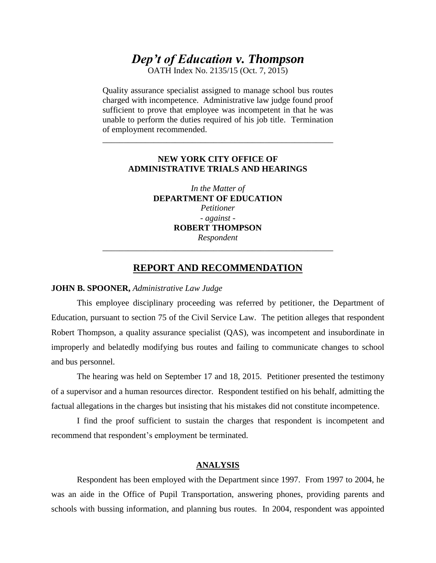# *Dep't of Education v. Thompson*

OATH Index No. 2135/15 (Oct. 7, 2015)

Quality assurance specialist assigned to manage school bus routes charged with incompetence. Administrative law judge found proof sufficient to prove that employee was incompetent in that he was unable to perform the duties required of his job title. Termination of employment recommended.

### **NEW YORK CITY OFFICE OF ADMINISTRATIVE TRIALS AND HEARINGS**

\_\_\_\_\_\_\_\_\_\_\_\_\_\_\_\_\_\_\_\_\_\_\_\_\_\_\_\_\_\_\_\_\_\_\_\_\_\_\_\_\_\_\_\_\_\_\_\_\_\_\_\_\_\_

*In the Matter of*  **DEPARTMENT OF EDUCATION** *Petitioner - against -* **ROBERT THOMPSON** *Respondent*

## **REPORT AND RECOMMENDATION**

\_\_\_\_\_\_\_\_\_\_\_\_\_\_\_\_\_\_\_\_\_\_\_\_\_\_\_\_\_\_\_\_\_\_\_\_\_\_\_\_\_\_\_\_\_\_\_\_\_\_\_\_\_\_

#### **JOHN B. SPOONER,** *Administrative Law Judge*

This employee disciplinary proceeding was referred by petitioner, the Department of Education, pursuant to section 75 of the Civil Service Law. The petition alleges that respondent Robert Thompson, a quality assurance specialist (QAS), was incompetent and insubordinate in improperly and belatedly modifying bus routes and failing to communicate changes to school and bus personnel.

The hearing was held on September 17 and 18, 2015. Petitioner presented the testimony of a supervisor and a human resources director. Respondent testified on his behalf, admitting the factual allegations in the charges but insisting that his mistakes did not constitute incompetence.

I find the proof sufficient to sustain the charges that respondent is incompetent and recommend that respondent's employment be terminated.

## **ANALYSIS**

Respondent has been employed with the Department since 1997. From 1997 to 2004, he was an aide in the Office of Pupil Transportation, answering phones, providing parents and schools with bussing information, and planning bus routes. In 2004, respondent was appointed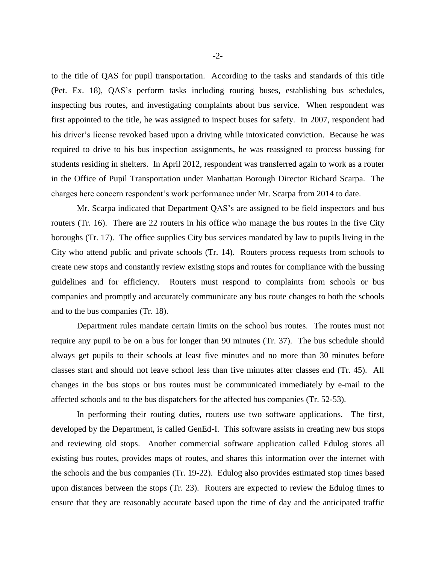to the title of QAS for pupil transportation. According to the tasks and standards of this title (Pet. Ex. 18), QAS's perform tasks including routing buses, establishing bus schedules, inspecting bus routes, and investigating complaints about bus service. When respondent was first appointed to the title, he was assigned to inspect buses for safety. In 2007, respondent had his driver's license revoked based upon a driving while intoxicated conviction. Because he was required to drive to his bus inspection assignments, he was reassigned to process bussing for students residing in shelters. In April 2012, respondent was transferred again to work as a router in the Office of Pupil Transportation under Manhattan Borough Director Richard Scarpa. The charges here concern respondent's work performance under Mr. Scarpa from 2014 to date.

Mr. Scarpa indicated that Department QAS's are assigned to be field inspectors and bus routers (Tr. 16). There are 22 routers in his office who manage the bus routes in the five City boroughs (Tr. 17). The office supplies City bus services mandated by law to pupils living in the City who attend public and private schools (Tr. 14). Routers process requests from schools to create new stops and constantly review existing stops and routes for compliance with the bussing guidelines and for efficiency. Routers must respond to complaints from schools or bus companies and promptly and accurately communicate any bus route changes to both the schools and to the bus companies (Tr. 18).

Department rules mandate certain limits on the school bus routes. The routes must not require any pupil to be on a bus for longer than 90 minutes (Tr. 37). The bus schedule should always get pupils to their schools at least five minutes and no more than 30 minutes before classes start and should not leave school less than five minutes after classes end (Tr. 45). All changes in the bus stops or bus routes must be communicated immediately by e-mail to the affected schools and to the bus dispatchers for the affected bus companies (Tr. 52-53).

In performing their routing duties, routers use two software applications. The first, developed by the Department, is called GenEd-I. This software assists in creating new bus stops and reviewing old stops. Another commercial software application called Edulog stores all existing bus routes, provides maps of routes, and shares this information over the internet with the schools and the bus companies (Tr. 19-22). Edulog also provides estimated stop times based upon distances between the stops (Tr. 23). Routers are expected to review the Edulog times to ensure that they are reasonably accurate based upon the time of day and the anticipated traffic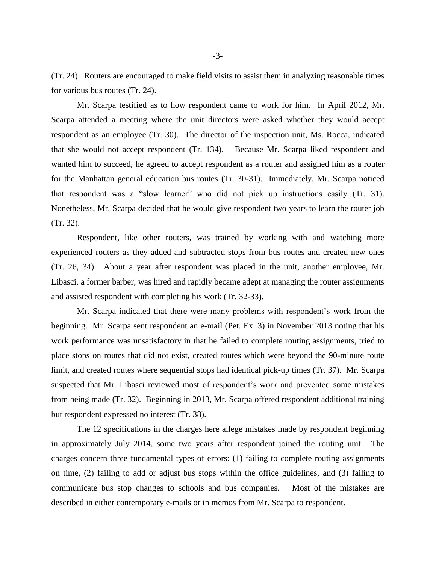(Tr. 24). Routers are encouraged to make field visits to assist them in analyzing reasonable times for various bus routes (Tr. 24).

Mr. Scarpa testified as to how respondent came to work for him. In April 2012, Mr. Scarpa attended a meeting where the unit directors were asked whether they would accept respondent as an employee (Tr. 30). The director of the inspection unit, Ms. Rocca, indicated that she would not accept respondent (Tr. 134). Because Mr. Scarpa liked respondent and wanted him to succeed, he agreed to accept respondent as a router and assigned him as a router for the Manhattan general education bus routes (Tr. 30-31). Immediately, Mr. Scarpa noticed that respondent was a "slow learner" who did not pick up instructions easily (Tr. 31). Nonetheless, Mr. Scarpa decided that he would give respondent two years to learn the router job (Tr. 32).

Respondent, like other routers, was trained by working with and watching more experienced routers as they added and subtracted stops from bus routes and created new ones (Tr. 26, 34). About a year after respondent was placed in the unit, another employee, Mr. Libasci, a former barber, was hired and rapidly became adept at managing the router assignments and assisted respondent with completing his work (Tr. 32-33).

Mr. Scarpa indicated that there were many problems with respondent's work from the beginning. Mr. Scarpa sent respondent an e-mail (Pet. Ex. 3) in November 2013 noting that his work performance was unsatisfactory in that he failed to complete routing assignments, tried to place stops on routes that did not exist, created routes which were beyond the 90-minute route limit, and created routes where sequential stops had identical pick-up times (Tr. 37). Mr. Scarpa suspected that Mr. Libasci reviewed most of respondent's work and prevented some mistakes from being made (Tr. 32). Beginning in 2013, Mr. Scarpa offered respondent additional training but respondent expressed no interest (Tr. 38).

The 12 specifications in the charges here allege mistakes made by respondent beginning in approximately July 2014, some two years after respondent joined the routing unit. The charges concern three fundamental types of errors: (1) failing to complete routing assignments on time, (2) failing to add or adjust bus stops within the office guidelines, and (3) failing to communicate bus stop changes to schools and bus companies. Most of the mistakes are described in either contemporary e-mails or in memos from Mr. Scarpa to respondent.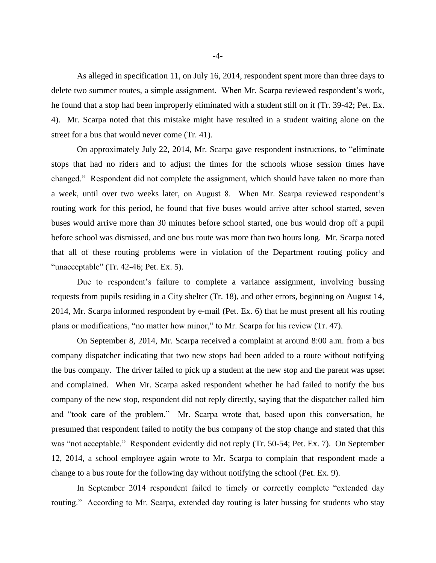As alleged in specification 11, on July 16, 2014, respondent spent more than three days to delete two summer routes, a simple assignment. When Mr. Scarpa reviewed respondent's work, he found that a stop had been improperly eliminated with a student still on it (Tr. 39-42; Pet. Ex. 4). Mr. Scarpa noted that this mistake might have resulted in a student waiting alone on the street for a bus that would never come (Tr. 41).

On approximately July 22, 2014, Mr. Scarpa gave respondent instructions, to "eliminate stops that had no riders and to adjust the times for the schools whose session times have changed." Respondent did not complete the assignment, which should have taken no more than a week, until over two weeks later, on August 8. When Mr. Scarpa reviewed respondent's routing work for this period, he found that five buses would arrive after school started, seven buses would arrive more than 30 minutes before school started, one bus would drop off a pupil before school was dismissed, and one bus route was more than two hours long. Mr. Scarpa noted that all of these routing problems were in violation of the Department routing policy and "unacceptable" (Tr. 42-46; Pet. Ex. 5).

Due to respondent's failure to complete a variance assignment, involving bussing requests from pupils residing in a City shelter (Tr. 18), and other errors, beginning on August 14, 2014, Mr. Scarpa informed respondent by e-mail (Pet. Ex. 6) that he must present all his routing plans or modifications, "no matter how minor," to Mr. Scarpa for his review (Tr. 47).

On September 8, 2014, Mr. Scarpa received a complaint at around 8:00 a.m. from a bus company dispatcher indicating that two new stops had been added to a route without notifying the bus company. The driver failed to pick up a student at the new stop and the parent was upset and complained. When Mr. Scarpa asked respondent whether he had failed to notify the bus company of the new stop, respondent did not reply directly, saying that the dispatcher called him and "took care of the problem." Mr. Scarpa wrote that, based upon this conversation, he presumed that respondent failed to notify the bus company of the stop change and stated that this was "not acceptable." Respondent evidently did not reply (Tr. 50-54; Pet. Ex. 7). On September 12, 2014, a school employee again wrote to Mr. Scarpa to complain that respondent made a change to a bus route for the following day without notifying the school (Pet. Ex. 9).

In September 2014 respondent failed to timely or correctly complete "extended day routing." According to Mr. Scarpa, extended day routing is later bussing for students who stay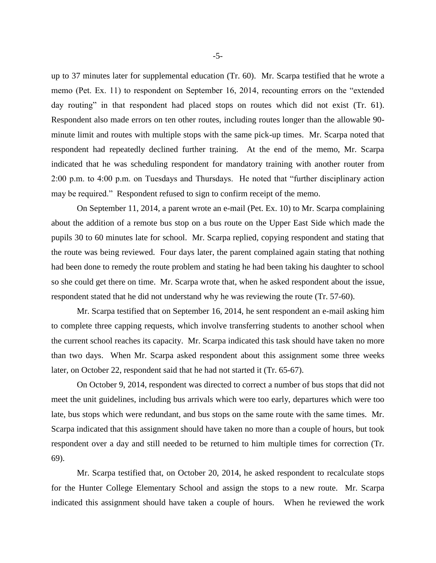up to 37 minutes later for supplemental education (Tr. 60). Mr. Scarpa testified that he wrote a memo (Pet. Ex. 11) to respondent on September 16, 2014, recounting errors on the "extended day routing" in that respondent had placed stops on routes which did not exist (Tr. 61). Respondent also made errors on ten other routes, including routes longer than the allowable 90 minute limit and routes with multiple stops with the same pick-up times. Mr. Scarpa noted that respondent had repeatedly declined further training. At the end of the memo, Mr. Scarpa indicated that he was scheduling respondent for mandatory training with another router from 2:00 p.m. to 4:00 p.m. on Tuesdays and Thursdays. He noted that "further disciplinary action may be required." Respondent refused to sign to confirm receipt of the memo.

On September 11, 2014, a parent wrote an e-mail (Pet. Ex. 10) to Mr. Scarpa complaining about the addition of a remote bus stop on a bus route on the Upper East Side which made the pupils 30 to 60 minutes late for school. Mr. Scarpa replied, copying respondent and stating that the route was being reviewed. Four days later, the parent complained again stating that nothing had been done to remedy the route problem and stating he had been taking his daughter to school so she could get there on time. Mr. Scarpa wrote that, when he asked respondent about the issue, respondent stated that he did not understand why he was reviewing the route (Tr. 57-60).

Mr. Scarpa testified that on September 16, 2014, he sent respondent an e-mail asking him to complete three capping requests, which involve transferring students to another school when the current school reaches its capacity. Mr. Scarpa indicated this task should have taken no more than two days. When Mr. Scarpa asked respondent about this assignment some three weeks later, on October 22, respondent said that he had not started it (Tr. 65-67).

On October 9, 2014, respondent was directed to correct a number of bus stops that did not meet the unit guidelines, including bus arrivals which were too early, departures which were too late, bus stops which were redundant, and bus stops on the same route with the same times. Mr. Scarpa indicated that this assignment should have taken no more than a couple of hours, but took respondent over a day and still needed to be returned to him multiple times for correction (Tr. 69).

Mr. Scarpa testified that, on October 20, 2014, he asked respondent to recalculate stops for the Hunter College Elementary School and assign the stops to a new route. Mr. Scarpa indicated this assignment should have taken a couple of hours. When he reviewed the work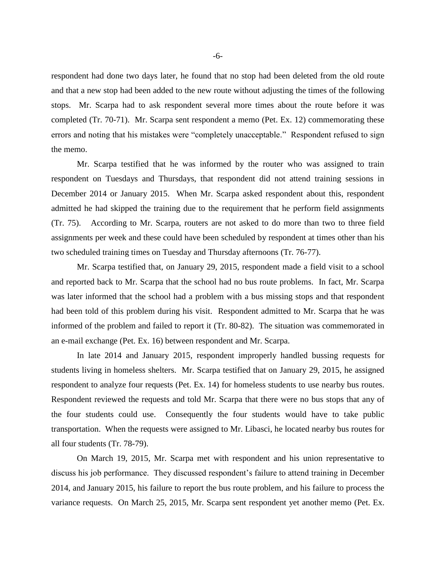respondent had done two days later, he found that no stop had been deleted from the old route and that a new stop had been added to the new route without adjusting the times of the following stops. Mr. Scarpa had to ask respondent several more times about the route before it was completed (Tr. 70-71). Mr. Scarpa sent respondent a memo (Pet. Ex. 12) commemorating these errors and noting that his mistakes were "completely unacceptable." Respondent refused to sign the memo.

Mr. Scarpa testified that he was informed by the router who was assigned to train respondent on Tuesdays and Thursdays, that respondent did not attend training sessions in December 2014 or January 2015. When Mr. Scarpa asked respondent about this, respondent admitted he had skipped the training due to the requirement that he perform field assignments (Tr. 75). According to Mr. Scarpa, routers are not asked to do more than two to three field assignments per week and these could have been scheduled by respondent at times other than his two scheduled training times on Tuesday and Thursday afternoons (Tr. 76-77).

Mr. Scarpa testified that, on January 29, 2015, respondent made a field visit to a school and reported back to Mr. Scarpa that the school had no bus route problems. In fact, Mr. Scarpa was later informed that the school had a problem with a bus missing stops and that respondent had been told of this problem during his visit. Respondent admitted to Mr. Scarpa that he was informed of the problem and failed to report it (Tr. 80-82). The situation was commemorated in an e-mail exchange (Pet. Ex. 16) between respondent and Mr. Scarpa.

In late 2014 and January 2015, respondent improperly handled bussing requests for students living in homeless shelters. Mr. Scarpa testified that on January 29, 2015, he assigned respondent to analyze four requests (Pet. Ex. 14) for homeless students to use nearby bus routes. Respondent reviewed the requests and told Mr. Scarpa that there were no bus stops that any of the four students could use. Consequently the four students would have to take public transportation. When the requests were assigned to Mr. Libasci, he located nearby bus routes for all four students (Tr. 78-79).

On March 19, 2015, Mr. Scarpa met with respondent and his union representative to discuss his job performance. They discussed respondent's failure to attend training in December 2014, and January 2015, his failure to report the bus route problem, and his failure to process the variance requests. On March 25, 2015, Mr. Scarpa sent respondent yet another memo (Pet. Ex.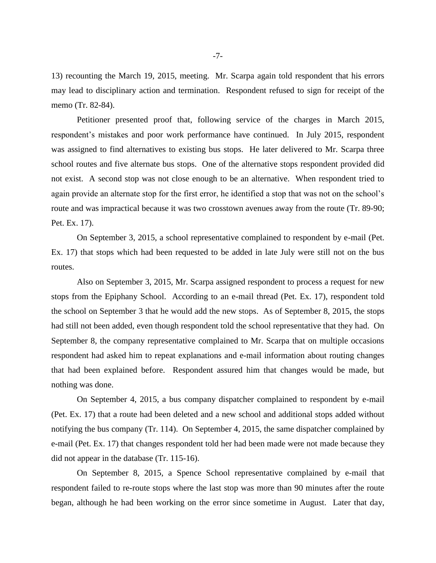13) recounting the March 19, 2015, meeting. Mr. Scarpa again told respondent that his errors may lead to disciplinary action and termination. Respondent refused to sign for receipt of the memo (Tr. 82-84).

Petitioner presented proof that, following service of the charges in March 2015, respondent's mistakes and poor work performance have continued. In July 2015, respondent was assigned to find alternatives to existing bus stops. He later delivered to Mr. Scarpa three school routes and five alternate bus stops. One of the alternative stops respondent provided did not exist. A second stop was not close enough to be an alternative. When respondent tried to again provide an alternate stop for the first error, he identified a stop that was not on the school's route and was impractical because it was two crosstown avenues away from the route (Tr. 89-90; Pet. Ex. 17).

On September 3, 2015, a school representative complained to respondent by e-mail (Pet. Ex. 17) that stops which had been requested to be added in late July were still not on the bus routes.

Also on September 3, 2015, Mr. Scarpa assigned respondent to process a request for new stops from the Epiphany School. According to an e-mail thread (Pet. Ex. 17), respondent told the school on September 3 that he would add the new stops. As of September 8, 2015, the stops had still not been added, even though respondent told the school representative that they had. On September 8, the company representative complained to Mr. Scarpa that on multiple occasions respondent had asked him to repeat explanations and e-mail information about routing changes that had been explained before. Respondent assured him that changes would be made, but nothing was done.

On September 4, 2015, a bus company dispatcher complained to respondent by e-mail (Pet. Ex. 17) that a route had been deleted and a new school and additional stops added without notifying the bus company (Tr. 114). On September 4, 2015, the same dispatcher complained by e-mail (Pet. Ex. 17) that changes respondent told her had been made were not made because they did not appear in the database (Tr. 115-16).

On September 8, 2015, a Spence School representative complained by e-mail that respondent failed to re-route stops where the last stop was more than 90 minutes after the route began, although he had been working on the error since sometime in August. Later that day,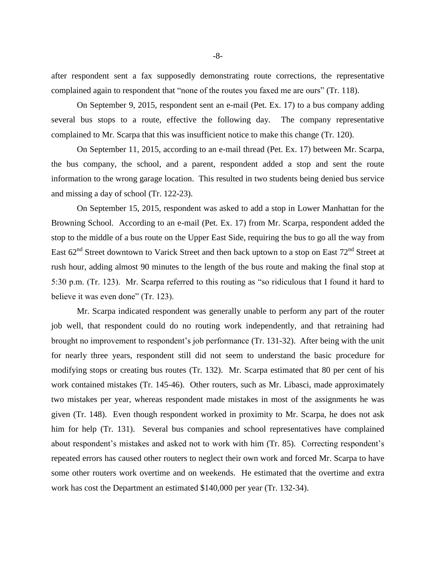after respondent sent a fax supposedly demonstrating route corrections, the representative complained again to respondent that "none of the routes you faxed me are ours" (Tr. 118).

On September 9, 2015, respondent sent an e-mail (Pet. Ex. 17) to a bus company adding several bus stops to a route, effective the following day. The company representative complained to Mr. Scarpa that this was insufficient notice to make this change (Tr. 120).

On September 11, 2015, according to an e-mail thread (Pet. Ex. 17) between Mr. Scarpa, the bus company, the school, and a parent, respondent added a stop and sent the route information to the wrong garage location. This resulted in two students being denied bus service and missing a day of school (Tr. 122-23).

On September 15, 2015, respondent was asked to add a stop in Lower Manhattan for the Browning School. According to an e-mail (Pet. Ex. 17) from Mr. Scarpa, respondent added the stop to the middle of a bus route on the Upper East Side, requiring the bus to go all the way from East  $62<sup>nd</sup>$  Street downtown to Varick Street and then back uptown to a stop on East  $72<sup>nd</sup>$  Street at rush hour, adding almost 90 minutes to the length of the bus route and making the final stop at 5:30 p.m. (Tr. 123). Mr. Scarpa referred to this routing as "so ridiculous that I found it hard to believe it was even done" (Tr. 123).

Mr. Scarpa indicated respondent was generally unable to perform any part of the router job well, that respondent could do no routing work independently, and that retraining had brought no improvement to respondent's job performance (Tr. 131-32). After being with the unit for nearly three years, respondent still did not seem to understand the basic procedure for modifying stops or creating bus routes (Tr. 132). Mr. Scarpa estimated that 80 per cent of his work contained mistakes (Tr. 145-46). Other routers, such as Mr. Libasci, made approximately two mistakes per year, whereas respondent made mistakes in most of the assignments he was given (Tr. 148). Even though respondent worked in proximity to Mr. Scarpa, he does not ask him for help (Tr. 131). Several bus companies and school representatives have complained about respondent's mistakes and asked not to work with him (Tr. 85). Correcting respondent's repeated errors has caused other routers to neglect their own work and forced Mr. Scarpa to have some other routers work overtime and on weekends. He estimated that the overtime and extra work has cost the Department an estimated \$140,000 per year (Tr. 132-34).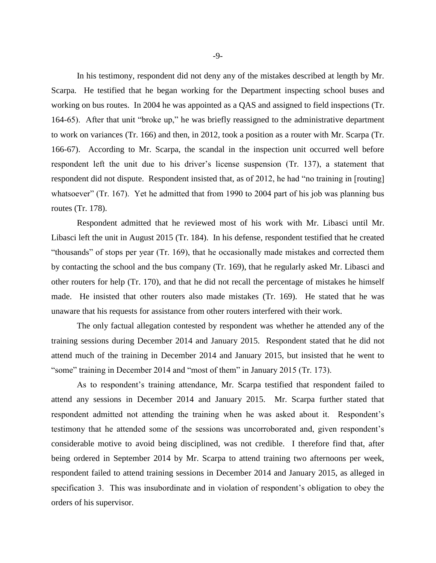In his testimony, respondent did not deny any of the mistakes described at length by Mr. Scarpa. He testified that he began working for the Department inspecting school buses and working on bus routes. In 2004 he was appointed as a QAS and assigned to field inspections (Tr. 164-65). After that unit "broke up," he was briefly reassigned to the administrative department to work on variances (Tr. 166) and then, in 2012, took a position as a router with Mr. Scarpa (Tr. 166-67). According to Mr. Scarpa, the scandal in the inspection unit occurred well before respondent left the unit due to his driver's license suspension (Tr. 137), a statement that respondent did not dispute. Respondent insisted that, as of 2012, he had "no training in [routing] whatsoever" (Tr. 167). Yet he admitted that from 1990 to 2004 part of his job was planning bus routes (Tr. 178).

Respondent admitted that he reviewed most of his work with Mr. Libasci until Mr. Libasci left the unit in August 2015 (Tr. 184). In his defense, respondent testified that he created "thousands" of stops per year (Tr. 169), that he occasionally made mistakes and corrected them by contacting the school and the bus company (Tr. 169), that he regularly asked Mr. Libasci and other routers for help (Tr. 170), and that he did not recall the percentage of mistakes he himself made. He insisted that other routers also made mistakes (Tr. 169). He stated that he was unaware that his requests for assistance from other routers interfered with their work.

The only factual allegation contested by respondent was whether he attended any of the training sessions during December 2014 and January 2015. Respondent stated that he did not attend much of the training in December 2014 and January 2015, but insisted that he went to "some" training in December 2014 and "most of them" in January 2015 (Tr. 173).

As to respondent's training attendance, Mr. Scarpa testified that respondent failed to attend any sessions in December 2014 and January 2015. Mr. Scarpa further stated that respondent admitted not attending the training when he was asked about it. Respondent's testimony that he attended some of the sessions was uncorroborated and, given respondent's considerable motive to avoid being disciplined, was not credible. I therefore find that, after being ordered in September 2014 by Mr. Scarpa to attend training two afternoons per week, respondent failed to attend training sessions in December 2014 and January 2015, as alleged in specification 3. This was insubordinate and in violation of respondent's obligation to obey the orders of his supervisor.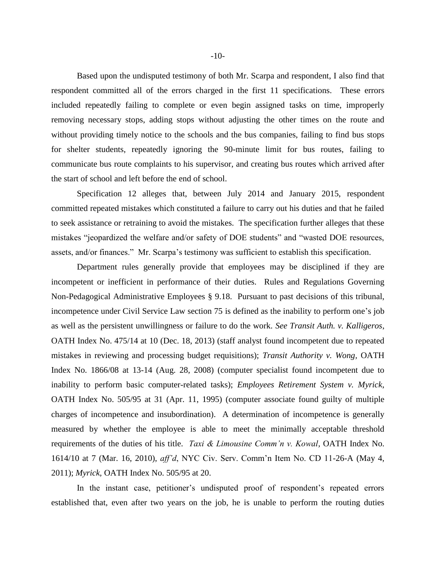Based upon the undisputed testimony of both Mr. Scarpa and respondent, I also find that respondent committed all of the errors charged in the first 11 specifications. These errors included repeatedly failing to complete or even begin assigned tasks on time, improperly removing necessary stops, adding stops without adjusting the other times on the route and without providing timely notice to the schools and the bus companies, failing to find bus stops for shelter students, repeatedly ignoring the 90-minute limit for bus routes, failing to communicate bus route complaints to his supervisor, and creating bus routes which arrived after the start of school and left before the end of school.

Specification 12 alleges that, between July 2014 and January 2015, respondent committed repeated mistakes which constituted a failure to carry out his duties and that he failed to seek assistance or retraining to avoid the mistakes. The specification further alleges that these mistakes "jeopardized the welfare and/or safety of DOE students" and "wasted DOE resources, assets, and/or finances." Mr. Scarpa's testimony was sufficient to establish this specification.

Department rules generally provide that employees may be disciplined if they are incompetent or inefficient in performance of their duties. Rules and Regulations Governing Non-Pedagogical Administrative Employees § 9.18. Pursuant to past decisions of this tribunal, incompetence under Civil Service Law section 75 is defined as the inability to perform one's job as well as the persistent unwillingness or failure to do the work. *See Transit Auth. v. Kalligeros*, OATH Index No. 475/14 at 10 (Dec. 18, 2013) (staff analyst found incompetent due to repeated mistakes in reviewing and processing budget requisitions); *Transit Authority v. Wong,* OATH Index No. 1866/08 at 13-14 (Aug. 28, 2008) (computer specialist found incompetent due to inability to perform basic computer-related tasks); *Employees Retirement System v. Myrick*, OATH Index No. 505/95 at 31 (Apr. 11, 1995) (computer associate found guilty of multiple charges of incompetence and insubordination). A determination of incompetence is generally measured by whether the employee is able to meet the minimally acceptable threshold requirements of the duties of his title. *Taxi & Limousine Comm'n v. Kowal,* OATH Index No. 1614/10 at 7 (Mar. 16, 2010), *aff'd*, NYC Civ. Serv. Comm'n Item No. CD 11-26-A (May 4, 2011); *Myrick,* OATH Index No. 505/95 at 20.

In the instant case, petitioner's undisputed proof of respondent's repeated errors established that, even after two years on the job, he is unable to perform the routing duties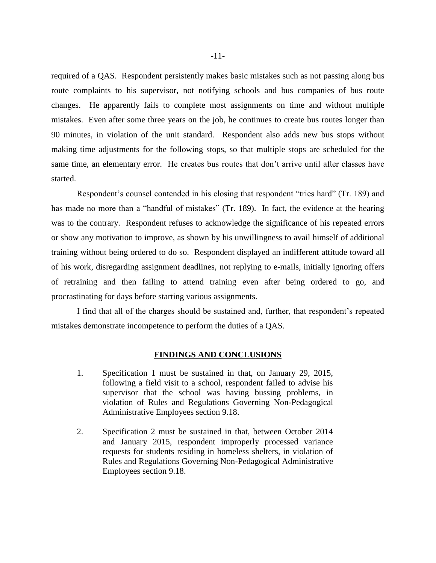required of a QAS. Respondent persistently makes basic mistakes such as not passing along bus route complaints to his supervisor, not notifying schools and bus companies of bus route changes. He apparently fails to complete most assignments on time and without multiple mistakes. Even after some three years on the job, he continues to create bus routes longer than 90 minutes, in violation of the unit standard. Respondent also adds new bus stops without making time adjustments for the following stops, so that multiple stops are scheduled for the same time, an elementary error. He creates bus routes that don't arrive until after classes have started.

Respondent's counsel contended in his closing that respondent "tries hard" (Tr. 189) and has made no more than a "handful of mistakes" (Tr. 189). In fact, the evidence at the hearing was to the contrary. Respondent refuses to acknowledge the significance of his repeated errors or show any motivation to improve, as shown by his unwillingness to avail himself of additional training without being ordered to do so. Respondent displayed an indifferent attitude toward all of his work, disregarding assignment deadlines, not replying to e-mails, initially ignoring offers of retraining and then failing to attend training even after being ordered to go, and procrastinating for days before starting various assignments.

I find that all of the charges should be sustained and, further, that respondent's repeated mistakes demonstrate incompetence to perform the duties of a QAS.

#### **FINDINGS AND CONCLUSIONS**

- 1. Specification 1 must be sustained in that, on January 29, 2015, following a field visit to a school, respondent failed to advise his supervisor that the school was having bussing problems, in violation of Rules and Regulations Governing Non-Pedagogical Administrative Employees section 9.18.
- 2. Specification 2 must be sustained in that, between October 2014 and January 2015, respondent improperly processed variance requests for students residing in homeless shelters, in violation of Rules and Regulations Governing Non-Pedagogical Administrative Employees section 9.18.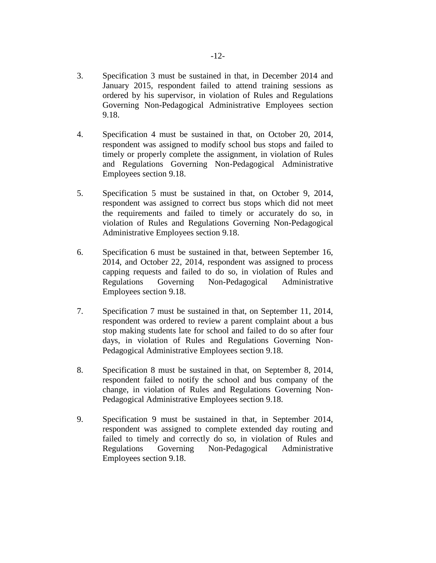- 3. Specification 3 must be sustained in that, in December 2014 and January 2015, respondent failed to attend training sessions as ordered by his supervisor, in violation of Rules and Regulations Governing Non-Pedagogical Administrative Employees section 9.18.
- 4. Specification 4 must be sustained in that, on October 20, 2014, respondent was assigned to modify school bus stops and failed to timely or properly complete the assignment, in violation of Rules and Regulations Governing Non-Pedagogical Administrative Employees section 9.18.
- 5. Specification 5 must be sustained in that, on October 9, 2014, respondent was assigned to correct bus stops which did not meet the requirements and failed to timely or accurately do so, in violation of Rules and Regulations Governing Non-Pedagogical Administrative Employees section 9.18.
- 6. Specification 6 must be sustained in that, between September 16, 2014, and October 22, 2014, respondent was assigned to process capping requests and failed to do so, in violation of Rules and Regulations Governing Non-Pedagogical Administrative Employees section 9.18.
- 7. Specification 7 must be sustained in that, on September 11, 2014, respondent was ordered to review a parent complaint about a bus stop making students late for school and failed to do so after four days, in violation of Rules and Regulations Governing Non-Pedagogical Administrative Employees section 9.18.
- 8. Specification 8 must be sustained in that, on September 8, 2014, respondent failed to notify the school and bus company of the change, in violation of Rules and Regulations Governing Non-Pedagogical Administrative Employees section 9.18.
- 9. Specification 9 must be sustained in that, in September 2014, respondent was assigned to complete extended day routing and failed to timely and correctly do so, in violation of Rules and Regulations Governing Non-Pedagogical Administrative Employees section 9.18.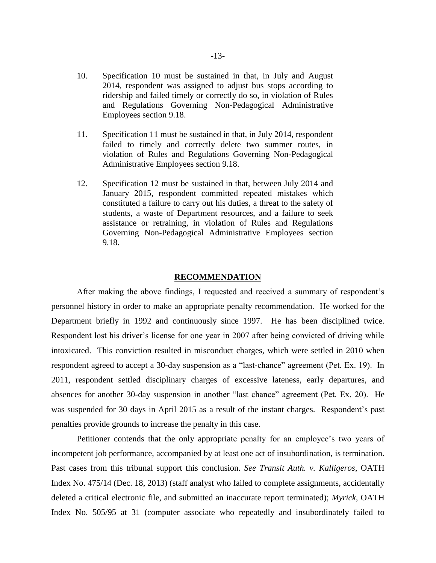- 10. Specification 10 must be sustained in that, in July and August 2014, respondent was assigned to adjust bus stops according to ridership and failed timely or correctly do so, in violation of Rules and Regulations Governing Non-Pedagogical Administrative Employees section 9.18.
- 11. Specification 11 must be sustained in that, in July 2014, respondent failed to timely and correctly delete two summer routes, in violation of Rules and Regulations Governing Non-Pedagogical Administrative Employees section 9.18.
- 12. Specification 12 must be sustained in that, between July 2014 and January 2015, respondent committed repeated mistakes which constituted a failure to carry out his duties, a threat to the safety of students, a waste of Department resources, and a failure to seek assistance or retraining, in violation of Rules and Regulations Governing Non-Pedagogical Administrative Employees section 9.18.

#### **RECOMMENDATION**

After making the above findings, I requested and received a summary of respondent's personnel history in order to make an appropriate penalty recommendation. He worked for the Department briefly in 1992 and continuously since 1997. He has been disciplined twice. Respondent lost his driver's license for one year in 2007 after being convicted of driving while intoxicated. This conviction resulted in misconduct charges, which were settled in 2010 when respondent agreed to accept a 30-day suspension as a "last-chance" agreement (Pet. Ex. 19). In 2011, respondent settled disciplinary charges of excessive lateness, early departures, and absences for another 30-day suspension in another "last chance" agreement (Pet. Ex. 20). He was suspended for 30 days in April 2015 as a result of the instant charges. Respondent's past penalties provide grounds to increase the penalty in this case.

Petitioner contends that the only appropriate penalty for an employee's two years of incompetent job performance, accompanied by at least one act of insubordination, is termination. Past cases from this tribunal support this conclusion. *See Transit Auth. v. Kalligeros*, OATH Index No. 475/14 (Dec. 18, 2013) (staff analyst who failed to complete assignments, accidentally deleted a critical electronic file, and submitted an inaccurate report terminated); *Myrick*, OATH Index No. 505/95 at 31 (computer associate who repeatedly and insubordinately failed to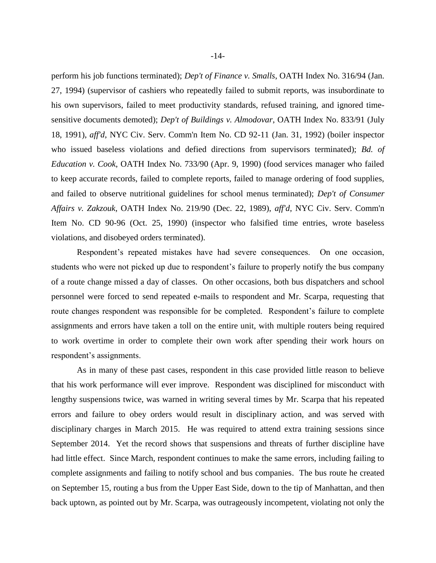perform his job functions terminated); *Dep't of Finance v. Smalls*, OATH Index No. 316/94 (Jan. 27, 1994) (supervisor of cashiers who repeatedly failed to submit reports, was insubordinate to his own supervisors, failed to meet productivity standards, refused training, and ignored timesensitive documents demoted); *Dep't of Buildings v. Almodovar*, OATH Index No. 833/91 (July 18, 1991), *aff'd*, NYC Civ. Serv. Comm'n Item No. CD 92-11 (Jan. 31, 1992) (boiler inspector who issued baseless violations and defied directions from supervisors terminated); *Bd. of Education v. Cook*, OATH Index No. 733/90 (Apr. 9, 1990) (food services manager who failed to keep accurate records, failed to complete reports, failed to manage ordering of food supplies, and failed to observe nutritional guidelines for school menus terminated); *Dep't of Consumer Affairs v. Zakzouk*, OATH Index No. 219/90 (Dec. 22, 1989), *aff'd*, NYC Civ. Serv. Comm'n Item No. CD 90-96 (Oct. 25, 1990) (inspector who falsified time entries, wrote baseless violations, and disobeyed orders terminated).

Respondent's repeated mistakes have had severe consequences. On one occasion, students who were not picked up due to respondent's failure to properly notify the bus company of a route change missed a day of classes. On other occasions, both bus dispatchers and school personnel were forced to send repeated e-mails to respondent and Mr. Scarpa, requesting that route changes respondent was responsible for be completed. Respondent's failure to complete assignments and errors have taken a toll on the entire unit, with multiple routers being required to work overtime in order to complete their own work after spending their work hours on respondent's assignments.

As in many of these past cases, respondent in this case provided little reason to believe that his work performance will ever improve. Respondent was disciplined for misconduct with lengthy suspensions twice, was warned in writing several times by Mr. Scarpa that his repeated errors and failure to obey orders would result in disciplinary action, and was served with disciplinary charges in March 2015. He was required to attend extra training sessions since September 2014. Yet the record shows that suspensions and threats of further discipline have had little effect. Since March, respondent continues to make the same errors, including failing to complete assignments and failing to notify school and bus companies. The bus route he created on September 15, routing a bus from the Upper East Side, down to the tip of Manhattan, and then back uptown, as pointed out by Mr. Scarpa, was outrageously incompetent, violating not only the